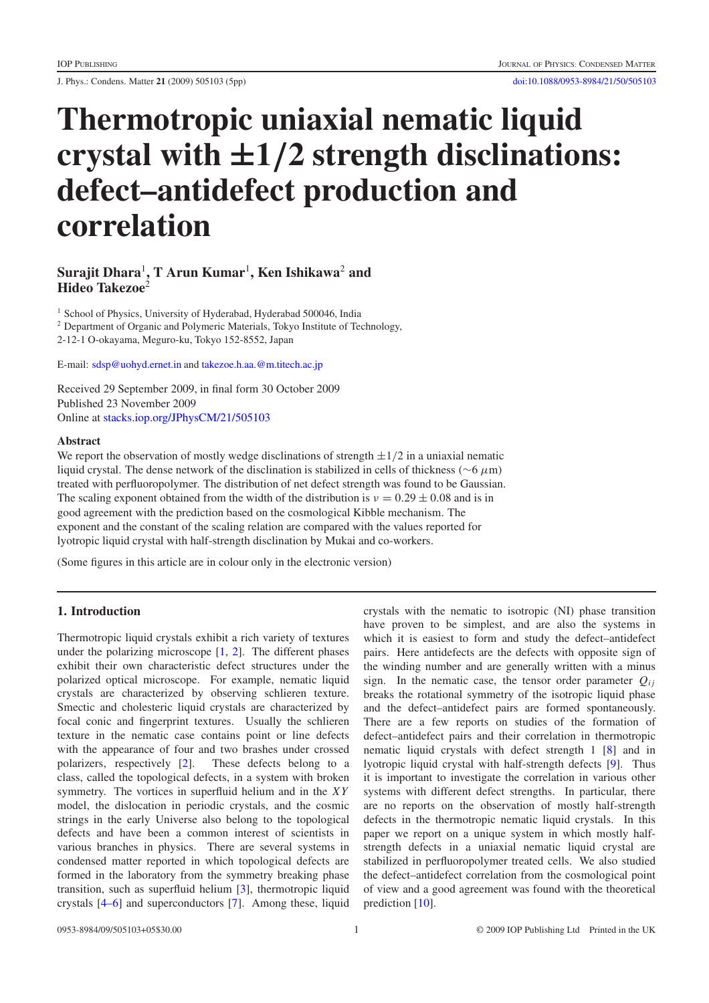J. Phys.: Condens. Matter **21** (2009) 505103 (5pp) [doi:10.1088/0953-8984/21/50/505103](http://dx.doi.org/10.1088/0953-8984/21/50/505103)

# **Thermotropic uniaxial nematic liquid crystal with ±1***/***2 strength disclinations: defect–antidefect production and correlation**

# $\boldsymbol{\mathrm{Surajit}$   $\boldsymbol{\mathrm{D}}$ hara $^1$ ,  $\boldsymbol{\mathrm{T}}$  Arun  $\boldsymbol{\mathrm{Kumar}}^1$ ,  $\boldsymbol{\mathrm{Ken}}$   $\boldsymbol{\mathrm{Ishikawa}}^2$  and **Hideo Takezoe**<sup>2</sup>

<sup>1</sup> School of Physics, University of Hyderabad, Hyderabad 500046, India

<sup>2</sup> Department of Organic and Polymeric Materials, Tokyo Institute of Technology,

2-12-1 O-okayama, Meguro-ku, Tokyo 152-8552, Japan

E-mail: [sdsp@uohyd.ernet.in](mailto:sdsp@uohyd.ernet.in) and [takezoe.h.aa.@m.titech.ac.jp](mailto:takezoe.h.aa.@m.titech.ac.jp)

Received 29 September 2009, in final form 30 October 2009 Published 23 November 2009 Online at [stacks.iop.org/JPhysCM/21/505103](http://stacks.iop.org/JPhysCM/21/505103)

#### **Abstract**

We report the observation of mostly wedge disclinations of strength  $\pm 1/2$  in a uniaxial nematic liquid crystal. The dense network of the disclination is stabilized in cells of thickness ( $\sim$ 6  $\mu$ m) treated with perfluoropolymer. The distribution of net defect strength was found to be Gaussian. The scaling exponent obtained from the width of the distribution is  $v = 0.29 \pm 0.08$  and is in good agreement with the prediction based on the cosmological Kibble mechanism. The exponent and the constant of the scaling relation are compared with the values reported for lyotropic liquid crystal with half-strength disclination by Mukai and co-workers.

(Some figures in this article are in colour only in the electronic version)

# **1. Introduction**

Thermotropic liquid crystals exhibit a rich variety of textures under the polarizing microscope [\[1,](#page-4-0) [2\]](#page-4-1). The different phases exhibit their own characteristic defect structures under the polarized optical microscope. For example, nematic liquid crystals are characterized by observing schlieren texture. Smectic and cholesteric liquid crystals are characterized by focal conic and fingerprint textures. Usually the schlieren texture in the nematic case contains point or line defects with the appearance of four and two brashes under crossed polarizers, respectively [\[2\]](#page-4-1). These defects belong to a class, called the topological defects, in a system with broken symmetry. The vortices in superfluid helium and in the *XY* model, the dislocation in periodic crystals, and the cosmic strings in the early Universe also belong to the topological defects and have been a common interest of scientists in various branches in physics. There are several systems in condensed matter reported in which topological defects are formed in the laboratory from the symmetry breaking phase transition, such as superfluid helium [\[3\]](#page-4-2), thermotropic liquid crystals [\[4–6\]](#page-4-3) and superconductors [\[7\]](#page-4-4). Among these, liquid

crystals with the nematic to isotropic (NI) phase transition have proven to be simplest, and are also the systems in which it is easiest to form and study the defect–antidefect pairs. Here antidefects are the defects with opposite sign of the winding number and are generally written with a minus sign. In the nematic case, the tensor order parameter  $Q_{ij}$ breaks the rotational symmetry of the isotropic liquid phase and the defect–antidefect pairs are formed spontaneously. There are a few reports on studies of the formation of defect–antidefect pairs and their correlation in thermotropic nematic liquid crystals with defect strength 1 [\[8\]](#page-4-5) and in lyotropic liquid crystal with half-strength defects [\[9\]](#page-4-6). Thus it is important to investigate the correlation in various other systems with different defect strengths. In particular, there are no reports on the observation of mostly half-strength defects in the thermotropic nematic liquid crystals. In this paper we report on a unique system in which mostly halfstrength defects in a uniaxial nematic liquid crystal are stabilized in perfluoropolymer treated cells. We also studied the defect–antidefect correlation from the cosmological point of view and a good agreement was found with the theoretical prediction [\[10\]](#page-4-7).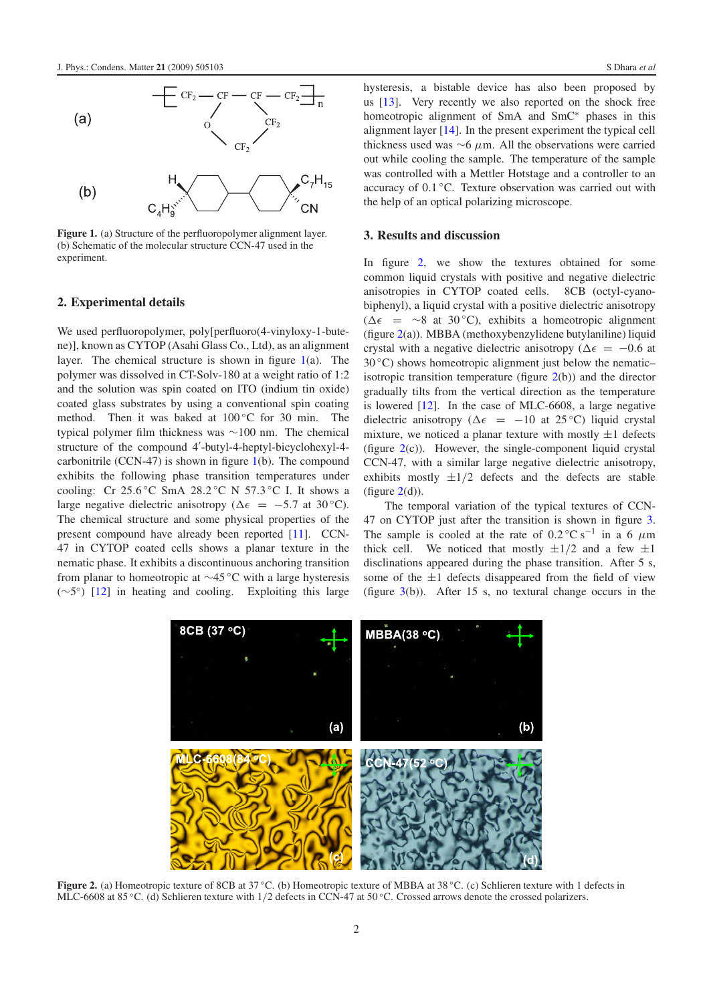<span id="page-1-0"></span>

**Figure 1.** (a) Structure of the perfluoropolymer alignment layer. (b) Schematic of the molecular structure CCN-47 used in the experiment.

#### **2. Experimental details**

We used perfluoropolymer, poly[perfluoro(4-vinyloxy-1-butene)], known as CYTOP (Asahi Glass Co., Ltd), as an alignment layer. The chemical structure is shown in figure [1\(](#page-1-0)a). The polymer was dissolved in CT-Solv-180 at a weight ratio of 1:2 and the solution was spin coated on ITO (indium tin oxide) coated glass substrates by using a conventional spin coating method. Then it was baked at 100 ◦C for 30 min. The typical polymer film thickness was ∼100 nm. The chemical structure of the compound 4 -butyl-4-heptyl-bicyclohexyl-4 carbonitrile (CCN-47) is shown in figure [1\(](#page-1-0)b). The compound exhibits the following phase transition temperatures under cooling: Cr 25.6 °C SmA 28.2 °C N 57.3 °C I. It shows a large negative dielectric anisotropy ( $\Delta \epsilon = -5.7$  at 30 °C). The chemical structure and some physical properties of the present compound have already been reported [\[11\]](#page-4-8). CCN-47 in CYTOP coated cells shows a planar texture in the nematic phase. It exhibits a discontinuous anchoring transition from planar to homeotropic at ∼45 ◦C with a large hysteresis (∼5◦) [\[12\]](#page-4-9) in heating and cooling. Exploiting this large hysteresis, a bistable device has also been proposed by us [\[13\]](#page-4-10). Very recently we also reported on the shock free homeotropic alignment of SmA and SmC<sup>∗</sup> phases in this alignment layer [\[14\]](#page-4-11). In the present experiment the typical cell thickness used was  $\sim$ 6  $\mu$ m. All the observations were carried out while cooling the sample. The temperature of the sample was controlled with a Mettler Hotstage and a controller to an accuracy of 0.1 ◦C. Texture observation was carried out with the help of an optical polarizing microscope.

## **3. Results and discussion**

In figure [2,](#page-1-1) we show the textures obtained for some common liquid crystals with positive and negative dielectric anisotropies in CYTOP coated cells. 8CB (octyl-cyanobiphenyl), a liquid crystal with a positive dielectric anisotropy  $( \Delta \epsilon$  = ∼8 at 30 °C), exhibits a homeotropic alignment  $(f$ igure  $2(a)$  $2(a)$ ). MBBA (methoxybenzylidene butylaniline) liquid crystal with a negative dielectric anisotropy ( $\Delta \epsilon = -0.6$  at  $30^{\circ}$ C) shows homeotropic alignment just below the nematic– isotropic transition temperature (figure  $2(b)$  $2(b)$ ) and the director gradually tilts from the vertical direction as the temperature is lowered [\[12\]](#page-4-9). In the case of MLC-6608, a large negative dielectric anisotropy ( $\Delta \epsilon$  = -10 at 25 °C) liquid crystal mixture, we noticed a planar texture with mostly  $\pm 1$  defects (figure  $2(c)$  $2(c)$ ). However, the single-component liquid crystal CCN-47, with a similar large negative dielectric anisotropy, exhibits mostly  $\pm 1/2$  defects and the defects are stable (figure  $2(d)$  $2(d)$ ).

The temporal variation of the typical textures of CCN-47 on CYTOP just after the transition is shown in figure [3.](#page-2-0) The sample is cooled at the rate of  $0.2 \degree \text{C s}^{-1}$  in a 6  $\mu$ m thick cell. We noticed that mostly  $\pm 1/2$  and a few  $\pm 1$ disclinations appeared during the phase transition. After 5 s, some of the  $\pm 1$  defects disappeared from the field of view (figure  $3(b)$  $3(b)$ ). After 15 s, no textural change occurs in the

<span id="page-1-1"></span>

**Figure 2.** (a) Homeotropic texture of 8CB at 37 ◦C. (b) Homeotropic texture of MBBA at 38 ◦C. (c) Schlieren texture with 1 defects in MLC-6608 at 85 °C. (d) Schlieren texture with 1/2 defects in CCN-47 at 50 °C. Crossed arrows denote the crossed polarizers.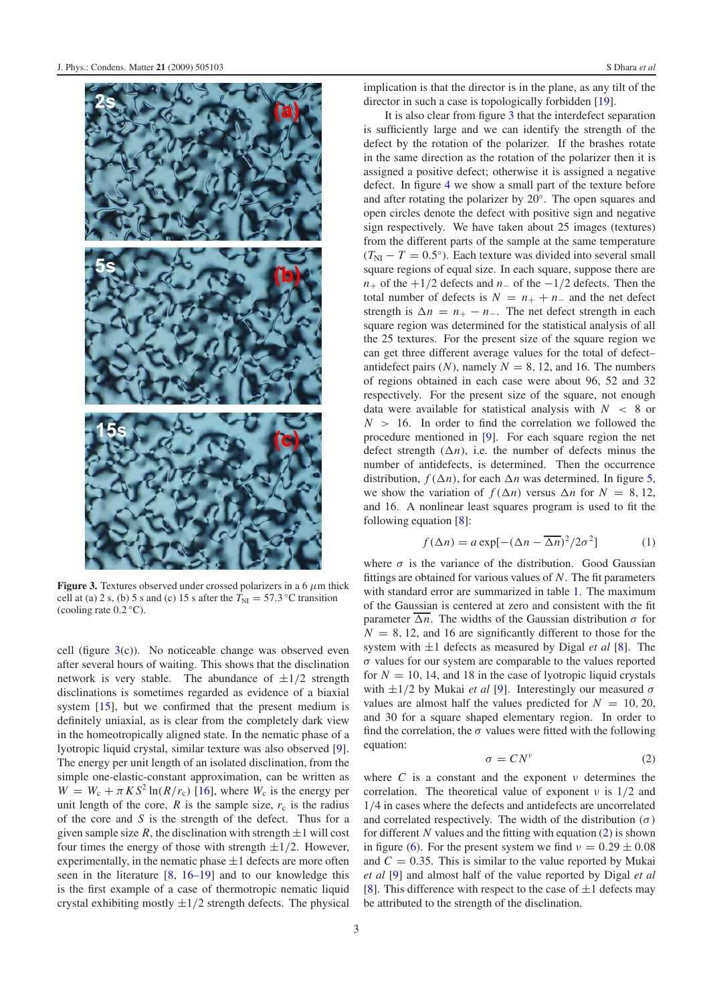<span id="page-2-0"></span>

**Figure 3.** Textures observed under crossed polarizers in a 6  $\mu$ m thick cell at (a) 2 s, (b) 5 s and (c) 15 s after the  $T<sub>NI</sub> = 57.3 °C$  transition (cooling rate  $0.2 \degree C$ ).

cell (figure  $3(c)$  $3(c)$ ). No noticeable change was observed even after several hours of waiting. This shows that the disclination network is very stable. The abundance of  $\pm 1/2$  strength disclinations is sometimes regarded as evidence of a biaxial system [\[15\]](#page-4-12), but we confirmed that the present medium is definitely uniaxial, as is clear from the completely dark view in the homeotropically aligned state. In the nematic phase of a lyotropic liquid crystal, similar texture was also observed [\[9\]](#page-4-6). The energy per unit length of an isolated disclination, from the simple one-elastic-constant approximation, can be written as  $W = W_c + \pi K S^2 \ln(R/r_c)$  [\[16\]](#page-4-13), where  $W_c$  is the energy per unit length of the core,  $R$  is the sample size,  $r_c$  is the radius of the core and *S* is the strength of the defect. Thus for a given sample size R, the disclination with strength  $\pm 1$  will cost four times the energy of those with strength  $\pm 1/2$ . However, experimentally, in the nematic phase  $\pm 1$  defects are more often seen in the literature [\[8,](#page-4-5) [16–19\]](#page-4-13) and to our knowledge this is the first example of a case of thermotropic nematic liquid crystal exhibiting mostly  $\pm 1/2$  strength defects. The physical implication is that the director is in the plane, as any tilt of the director in such a case is topologically forbidden [\[19\]](#page-4-14).

It is also clear from figure [3](#page-2-0) that the interdefect separation is sufficiently large and we can identify the strength of the defect by the rotation of the polarizer. If the brashes rotate in the same direction as the rotation of the polarizer then it is assigned a positive defect; otherwise it is assigned a negative defect. In figure [4](#page-3-0) we show a small part of the texture before and after rotating the polarizer by 20◦. The open squares and open circles denote the defect with positive sign and negative sign respectively. We have taken about 25 images (textures) from the different parts of the sample at the same temperature  $(T_{\text{NI}} - T = 0.5^{\circ})$ . Each texture was divided into several small square regions of equal size. In each square, suppose there are *n*+ of the  $+1/2$  defects and *n*− of the  $-1/2$  defects. Then the total number of defects is  $N = n_{+} + n_{-}$  and the net defect strength is  $\Delta n = n_+ - n_-$ . The net defect strength in each square region was determined for the statistical analysis of all the 25 textures. For the present size of the square region we can get three different average values for the total of defect– antidefect pairs  $(N)$ , namely  $N = 8$ , 12, and 16. The numbers of regions obtained in each case were about 96, 52 and 32 respectively. For the present size of the square, not enough data were available for statistical analysis with *N* < 8 or  $N > 16$ . In order to find the correlation we followed the procedure mentioned in [\[9\]](#page-4-6). For each square region the net defect strength  $(\Delta n)$ , i.e. the number of defects minus the number of antidefects, is determined. Then the occurrence distribution,  $f(\Delta n)$ , for each  $\Delta n$  was determined. In figure [5,](#page-3-1) we show the variation of  $f(\Delta n)$  versus  $\Delta n$  for  $N = 8, 12,$ and 16. A nonlinear least squares program is used to fit the following equation [\[8\]](#page-4-5):

<span id="page-2-2"></span>
$$
f(\Delta n) = a \exp[-(\Delta n - \overline{\Delta n})^2 / 2\sigma^2]
$$
 (1)

where  $\sigma$  is the variance of the distribution. Good Gaussian fittings are obtained for various values of *N*. The fit parameters with standard error are summarized in table [1.](#page-3-2) The maximum of the Gaussian is centered at zero and consistent with the fit parameter  $\overline{\Delta n}$ . The widths of the Gaussian distribution  $\sigma$  for  $N = 8$ , 12, and 16 are significantly different to those for the system with ±1 defects as measured by Digal *et al* [\[8\]](#page-4-5). The  $\sigma$  values for our system are comparable to the values reported for  $N = 10$ , 14, and 18 in the case of lyotropic liquid crystals with  $\pm 1/2$  by Mukai *et al* [\[9\]](#page-4-6). Interestingly our measured  $\sigma$ values are almost half the values predicted for  $N = 10, 20$ , and 30 for a square shaped elementary region. In order to find the correlation, the  $\sigma$  values were fitted with the following equation:

<span id="page-2-1"></span>
$$
\sigma = C N^{\nu} \tag{2}
$$

where  $C$  is a constant and the exponent  $\nu$  determines the correlation. The theoretical value of exponent  $\nu$  is 1/2 and 1/4 in cases where the defects and antidefects are uncorrelated and correlated respectively. The width of the distribution  $(\sigma)$ for different *N* values and the fitting with equation [\(2\)](#page-2-1) is shown in figure [\(6\)](#page-3-3). For the present system we find  $v = 0.29 \pm 0.08$ and  $C = 0.35$ . This is similar to the value reported by Mukai *et al* [\[9\]](#page-4-6) and almost half of the value reported by Digal *et al* [\[8\]](#page-4-5). This difference with respect to the case of  $\pm 1$  defects may be attributed to the strength of the disclination.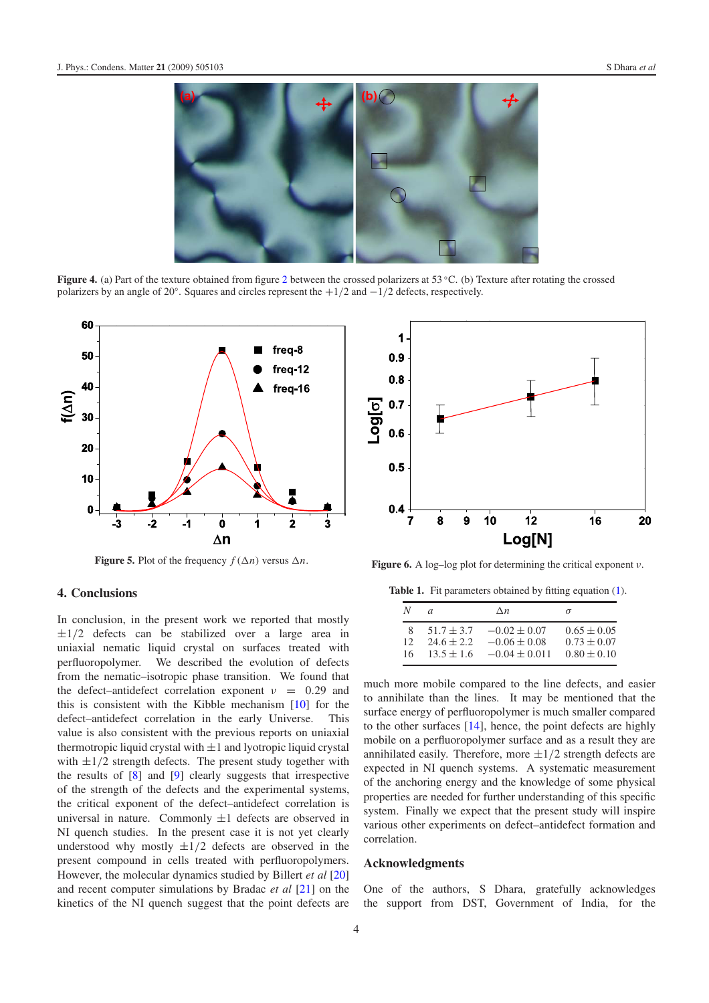<span id="page-3-0"></span>

<span id="page-3-1"></span>**Figure 4.** (a) Part of the texture obtained from figure [2](#page-1-1) between the crossed polarizers at 53 °C. (b) Texture after rotating the crossed polarizers by an angle of 20◦. Squares and circles represent the +1/2 and −1/2 defects, respectively.



**Figure 5.** Plot of the frequency  $f(\Delta n)$  versus  $\Delta n$ .

# **4. Conclusions**

In conclusion, in the present work we reported that mostly  $\pm 1/2$  defects can be stabilized over a large area in uniaxial nematic liquid crystal on surfaces treated with perfluoropolymer. We described the evolution of defects from the nematic–isotropic phase transition. We found that the defect–antidefect correlation exponent  $v = 0.29$  and this is consistent with the Kibble mechanism [\[10\]](#page-4-7) for the defect–antidefect correlation in the early Universe. This value is also consistent with the previous reports on uniaxial thermotropic liquid crystal with  $\pm 1$  and lyotropic liquid crystal with  $\pm 1/2$  strength defects. The present study together with the results of [\[8\]](#page-4-5) and [\[9\]](#page-4-6) clearly suggests that irrespective of the strength of the defects and the experimental systems, the critical exponent of the defect–antidefect correlation is universal in nature. Commonly  $\pm 1$  defects are observed in NI quench studies. In the present case it is not yet clearly understood why mostly  $\pm 1/2$  defects are observed in the present compound in cells treated with perfluoropolymers. However, the molecular dynamics studied by Billert *et al* [\[20\]](#page-4-15) and recent computer simulations by Bradac *et al* [\[21\]](#page-4-16) on the kinetics of the NI quench suggest that the point defects are

<span id="page-3-3"></span>

<span id="page-3-2"></span>**Figure 6.** A log–log plot for determining the critical exponent  $\nu$ .

**Table 1.** Fit parameters obtained by fitting equation [\(1\)](#page-2-2).

| Ν  | $\alpha$       | $\wedge n$        | σ               |
|----|----------------|-------------------|-----------------|
| 8  | $51.7 + 3.7$   | $-0.02 \pm 0.07$  | $0.65 \pm 0.05$ |
| 12 | $24.6 \pm 2.2$ | $-0.06 \pm 0.08$  | $0.73 \pm 0.07$ |
| 16 | $13.5 + 1.6$   | $-0.04 \pm 0.011$ | $0.80 \pm 0.10$ |

much more mobile compared to the line defects, and easier to annihilate than the lines. It may be mentioned that the surface energy of perfluoropolymer is much smaller compared to the other surfaces [\[14\]](#page-4-11), hence, the point defects are highly mobile on a perfluoropolymer surface and as a result they are annihilated easily. Therefore, more  $\pm 1/2$  strength defects are expected in NI quench systems. A systematic measurement of the anchoring energy and the knowledge of some physical properties are needed for further understanding of this specific system. Finally we expect that the present study will inspire various other experiments on defect–antidefect formation and correlation.

## **Acknowledgments**

One of the authors, S Dhara, gratefully acknowledges the support from DST, Government of India, for the